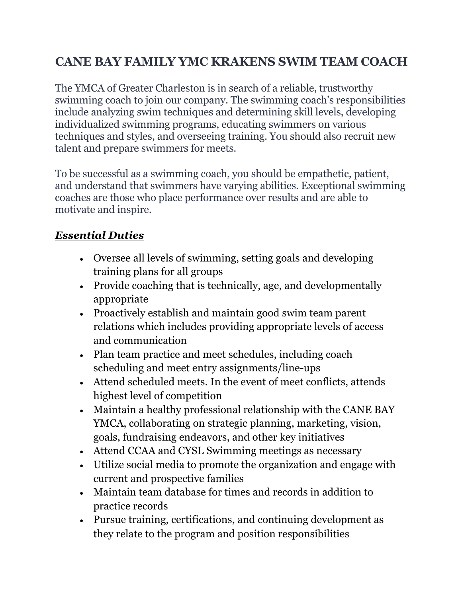## **CANE BAY FAMILY YMC KRAKENS SWIM TEAM COACH**

The YMCA of Greater Charleston is in search of a reliable, trustworthy swimming coach to join our company. The swimming coach's responsibilities include analyzing swim techniques and determining skill levels, developing individualized swimming programs, educating swimmers on various techniques and styles, and overseeing training. You should also recruit new talent and prepare swimmers for meets.

To be successful as a swimming coach, you should be empathetic, patient, and understand that swimmers have varying abilities. Exceptional swimming coaches are those who place performance over results and are able to motivate and inspire.

## *Essential Duties*

- Oversee all levels of swimming, setting goals and developing training plans for all groups
- Provide coaching that is technically, age, and developmentally appropriate
- Proactively establish and maintain good swim team parent relations which includes providing appropriate levels of access and communication
- Plan team practice and meet schedules, including coach scheduling and meet entry assignments/line-ups
- Attend scheduled meets. In the event of meet conflicts, attends highest level of competition
- Maintain a healthy professional relationship with the CANE BAY YMCA, collaborating on strategic planning, marketing, vision, goals, fundraising endeavors, and other key initiatives
- Attend CCAA and CYSL Swimming meetings as necessary
- Utilize social media to promote the organization and engage with current and prospective families
- Maintain team database for times and records in addition to practice records
- Pursue training, certifications, and continuing development as they relate to the program and position responsibilities